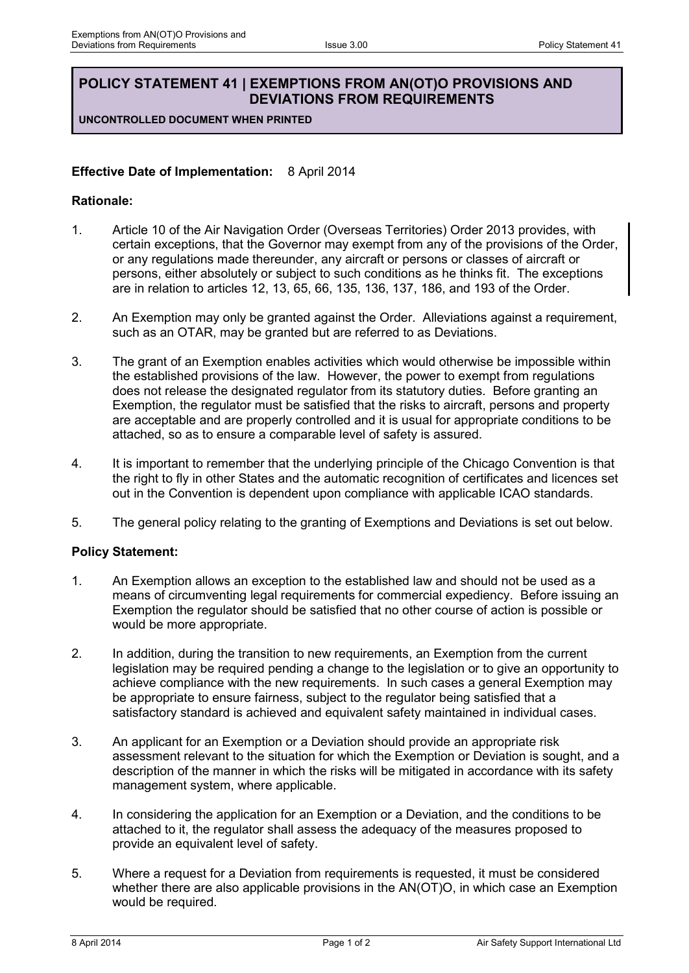## **POLICY STATEMENT 41 | EXEMPTIONS FROM AN(OT)O PROVISIONS AND DEVIATIONS FROM REQUIREMENTS**

**UNCONTROLLED DOCUMENT WHEN PRINTED**

## **Effective Date of Implementation:** 8 April 2014

## **Rationale:**

- 1. Article 10 of the Air Navigation Order (Overseas Territories) Order 2013 provides, with certain exceptions, that the Governor may exempt from any of the provisions of the Order, or any regulations made thereunder, any aircraft or persons or classes of aircraft or persons, either absolutely or subject to such conditions as he thinks fit. The exceptions are in relation to articles 12, 13, 65, 66, 135, 136, 137, 186, and 193 of the Order.
- 2. An Exemption may only be granted against the Order. Alleviations against a requirement, such as an OTAR, may be granted but are referred to as Deviations.
- 3. The grant of an Exemption enables activities which would otherwise be impossible within the established provisions of the law. However, the power to exempt from regulations does not release the designated regulator from its statutory duties. Before granting an Exemption, the regulator must be satisfied that the risks to aircraft, persons and property are acceptable and are properly controlled and it is usual for appropriate conditions to be attached, so as to ensure a comparable level of safety is assured.
- 4. It is important to remember that the underlying principle of the Chicago Convention is that the right to fly in other States and the automatic recognition of certificates and licences set out in the Convention is dependent upon compliance with applicable ICAO standards.
- 5. The general policy relating to the granting of Exemptions and Deviations is set out below.

## **Policy Statement:**

- 1. An Exemption allows an exception to the established law and should not be used as a means of circumventing legal requirements for commercial expediency. Before issuing an Exemption the regulator should be satisfied that no other course of action is possible or would be more appropriate.
- 2. In addition, during the transition to new requirements, an Exemption from the current legislation may be required pending a change to the legislation or to give an opportunity to achieve compliance with the new requirements. In such cases a general Exemption may be appropriate to ensure fairness, subject to the regulator being satisfied that a satisfactory standard is achieved and equivalent safety maintained in individual cases.
- 3. An applicant for an Exemption or a Deviation should provide an appropriate risk assessment relevant to the situation for which the Exemption or Deviation is sought, and a description of the manner in which the risks will be mitigated in accordance with its safety management system, where applicable.
- 4. In considering the application for an Exemption or a Deviation, and the conditions to be attached to it, the regulator shall assess the adequacy of the measures proposed to provide an equivalent level of safety.
- 5. Where a request for a Deviation from requirements is requested, it must be considered whether there are also applicable provisions in the AN(OT)O, in which case an Exemption would be required.